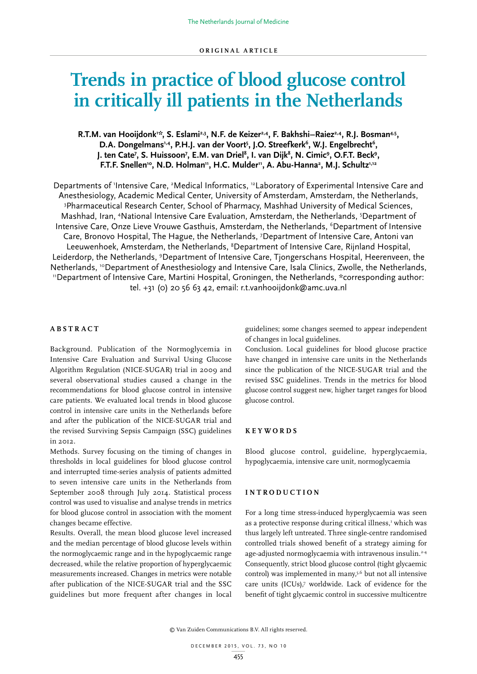# **Trends in practice of blood glucose control in critically ill patients in the Netherlands**

R.T.M. van Hooijdonk<sup>1:</sup>, S. Eslami<sup>2,3</sup>, N.F. de Keizer<sup>2,4</sup>, F. Bakhshi–Raiez<sup>2,4</sup>, R.J. Bosman<sup>4,5</sup>, D.A. Dongelmans<sup>1,4</sup>, P.H.J. van der Voort<sup>5</sup>, J.O. Streefkerk<sup>6</sup>, W.J. Engelbrecht<sup>6</sup>, J. ten Cate<sup>7</sup>, S. Huissoon<sup>7</sup>, E.M. van Driel<sup>8</sup>, I. van Dijk<sup>8</sup>, N. Cimic<sup>9</sup>, O.F.T. Beck<sup>9</sup>, F.T.F. Snellen<sup>10</sup>, N.D. Holman<sup>11</sup>, H.C. Mulder<sup>11</sup>, A. Abu-Hanna<sup>2</sup>, M.J. Schultz<sup>1,12</sup>

Departments of 'Intensive Care, <sup>2</sup>Medical Informatics, <sup>12</sup>Laboratory of Experimental Intensive Care and Anesthesiology, Academic Medical Center, University of Amsterdam, Amsterdam, the Netherlands, 3 Pharmaceutical Research Center, School of Pharmacy, Mashhad University of Medical Sciences, Mashhad, Iran, <sup>4</sup>National Intensive Care Evaluation, Amsterdam, the Netherlands, <sup>5</sup>Department of Intensive Care, Onze Lieve Vrouwe Gasthuis, Amsterdam, the Netherlands, <sup>6</sup>Department of Intensive Care, Bronovo Hospital, The Hague, the Netherlands, 7 Department of Intensive Care, Antoni van Leeuwenhoek, Amsterdam, the Netherlands, <sup>8</sup>Department of Intensive Care, Rijnland Hospital, Leiderdorp, the Netherlands, <sup>9</sup>Department of Intensive Care, Tjongerschans Hospital, Heerenveen, the Netherlands, <sup>10</sup>Department of Anesthesiology and Intensive Care, Isala Clinics, Zwolle, the Netherlands, 11Department of Intensive Care, Martini Hospital, Groningen, the Netherlands, \*corresponding author: tel. +31 (0) 20 56 63 42, email: r.t.vanhooijdonk@amc.uva.nl

# **ABSTRACT**

Background. Publication of the Normoglycemia in Intensive Care Evaluation and Survival Using Glucose Algorithm Regulation (NICE-SUGAR) trial in 2009 and several observational studies caused a change in the recommendations for blood glucose control in intensive care patients. We evaluated local trends in blood glucose control in intensive care units in the Netherlands before and after the publication of the NICE-SUGAR trial and the revised Surviving Sepsis Campaign (SSC) guidelines in 2012.

Methods. Survey focusing on the timing of changes in thresholds in local guidelines for blood glucose control and interrupted time-series analysis of patients admitted to seven intensive care units in the Netherlands from September 2008 through July 2014. Statistical process control was used to visualise and analyse trends in metrics for blood glucose control in association with the moment changes became effective.

Results. Overall, the mean blood glucose level increased and the median percentage of blood glucose levels within the normoglycaemic range and in the hypoglycaemic range decreased, while the relative proportion of hyperglycaemic measurements increased. Changes in metrics were notable after publication of the NICE-SUGAR trial and the SSC guidelines but more frequent after changes in local

guidelines; some changes seemed to appear independent of changes in local guidelines.

Conclusion. Local guidelines for blood glucose practice have changed in intensive care units in the Netherlands since the publication of the NICE-SUGAR trial and the revised SSC guidelines. Trends in the metrics for blood glucose control suggest new, higher target ranges for blood glucose control.

#### **KEYWORDS**

Blood glucose control, guideline, hyperglycaemia, hypoglycaemia, intensive care unit, normoglycaemia

#### **INTRODUCTION**

For a long time stress-induced hyperglycaemia was seen as a protective response during critical illness,<sup>1</sup> which was thus largely left untreated. Three single-centre randomised controlled trials showed benefit of a strategy aiming for age-adjusted normoglycaemia with intravenous insulin.2-4 Consequently, strict blood glucose control (tight glycaemic control) was implemented in many,5,6 but not all intensive care units (ICUs),7 worldwide. Lack of evidence for the benefit of tight glycaemic control in successive multicentre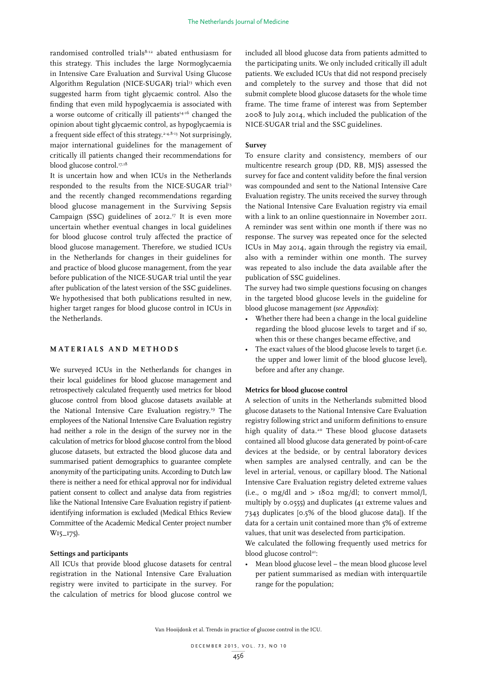randomised controlled trials8-12 abated enthusiasm for this strategy. This includes the large Normoglycaemia in Intensive Care Evaluation and Survival Using Glucose Algorithm Regulation (NICE-SUGAR) trial<sup>13</sup> which even suggested harm from tight glycaemic control. Also the finding that even mild hypoglycaemia is associated with a worse outcome of critically ill patients<sup>14-16</sup> changed the opinion about tight glycaemic control, as hypoglycaemia is a frequent side effect of this strategy.<sup>2-4,8-13</sup> Not surprisingly, major international guidelines for the management of critically ill patients changed their recommendations for blood glucose control.<sup>17,18</sup>

It is uncertain how and when ICUs in the Netherlands responded to the results from the NICE-SUGAR trial<sup>13</sup> and the recently changed recommendations regarding blood glucose management in the Surviving Sepsis Campaign (SSC) guidelines of  $2OI2.^{17}$  It is even more uncertain whether eventual changes in local guidelines for blood glucose control truly affected the practice of blood glucose management. Therefore, we studied ICUs in the Netherlands for changes in their guidelines for and practice of blood glucose management, from the year before publication of the NICE-SUGAR trial until the year after publication of the latest version of the SSC guidelines. We hypothesised that both publications resulted in new, higher target ranges for blood glucose control in ICUs in the Netherlands.

# **MATERIALS AND METHODS**

We surveyed ICUs in the Netherlands for changes in their local guidelines for blood glucose management and retrospectively calculated frequently used metrics for blood glucose control from blood glucose datasets available at the National Intensive Care Evaluation registry.19 The employees of the National Intensive Care Evaluation registry had neither a role in the design of the survey nor in the calculation of metrics for blood glucose control from the blood glucose datasets, but extracted the blood glucose data and summarised patient demographics to guarantee complete anonymity of the participating units. According to Dutch law there is neither a need for ethical approval nor for individual patient consent to collect and analyse data from registries like the National Intensive Care Evaluation registry if patientidentifying information is excluded (Medical Ethics Review Committee of the Academic Medical Center project number W15\_175).

## **Settings and participants**

All ICUs that provide blood glucose datasets for central registration in the National Intensive Care Evaluation registry were invited to participate in the survey. For the calculation of metrics for blood glucose control we

included all blood glucose data from patients admitted to the participating units. We only included critically ill adult patients. We excluded ICUs that did not respond precisely and completely to the survey and those that did not submit complete blood glucose datasets for the whole time frame. The time frame of interest was from September 2008 to July 2014, which included the publication of the NICE-SUGAR trial and the SSC guidelines.

#### **Survey**

To ensure clarity and consistency, members of our multicentre research group (DD, RB, MJS) assessed the survey for face and content validity before the final version was compounded and sent to the National Intensive Care Evaluation registry. The units received the survey through the National Intensive Care Evaluation registry via email with a link to an online questionnaire in November 2011. A reminder was sent within one month if there was no response. The survey was repeated once for the selected ICUs in May 2014, again through the registry via email, also with a reminder within one month. The survey was repeated to also include the data available after the publication of SSC guidelines.

The survey had two simple questions focusing on changes in the targeted blood glucose levels in the guideline for blood glucose management (*see Appendix*):

- Whether there had been a change in the local guideline regarding the blood glucose levels to target and if so, when this or these changes became effective, and
- The exact values of the blood glucose levels to target (i.e. the upper and lower limit of the blood glucose level), before and after any change.

#### **Metrics for blood glucose control**

A selection of units in the Netherlands submitted blood glucose datasets to the National Intensive Care Evaluation registry following strict and uniform definitions to ensure high quality of data.<sup>20</sup> These blood glucose datasets contained all blood glucose data generated by point-of-care devices at the bedside, or by central laboratory devices when samples are analysed centrally, and can be the level in arterial, venous, or capillary blood. The National Intensive Care Evaluation registry deleted extreme values (i.e.,  $\circ$  mg/dl and  $>$  1802 mg/dl; to convert mmol/l, multiply by 0.0555) and duplicates (41 extreme values and 7343 duplicates [0.5% of the blood glucose data]). If the data for a certain unit contained more than 5% of extreme values, that unit was deselected from participation.

We calculated the following frequently used metrics for blood glucose control<sup>21</sup>:

• Mean blood glucose level – the mean blood glucose level per patient summarised as median with interquartile range for the population;

Van Hooijdonk et al. Trends in practice of glucose control in the ICU.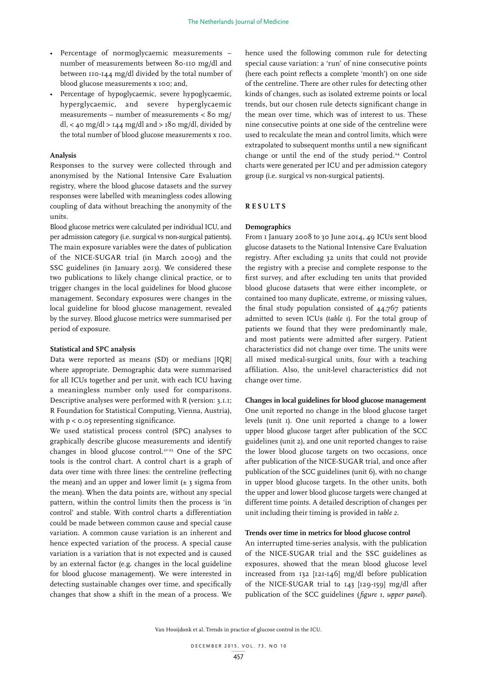- Percentage of normoglycaemic measurements number of measurements between 80-110 mg/dl and between 110-144 mg/dl divided by the total number of blood glucose measurements x 100; and,
- Percentage of hypoglycaemic, severe hypoglycaemic, hyperglycaemic, and severe hyperglycaemic measurements – number of measurements < 80 mg/ dl, < 40 mg/dl > 144 mg/dl and > 180 mg/dl, divided by the total number of blood glucose measurements x 100.

## **Analysis**

Responses to the survey were collected through and anonymised by the National Intensive Care Evaluation registry, where the blood glucose datasets and the survey responses were labelled with meaningless codes allowing coupling of data without breaching the anonymity of the units.

Blood glucose metrics were calculated per individual ICU, and per admission category (i.e. surgical vs non-surgical patients). The main exposure variables were the dates of publication of the NICE-SUGAR trial (in March 2009) and the SSC guidelines (in January 2013). We considered these two publications to likely change clinical practice, or to trigger changes in the local guidelines for blood glucose management. Secondary exposures were changes in the local guideline for blood glucose management, revealed by the survey. Blood glucose metrics were summarised per period of exposure.

## **Statistical and SPC analysis**

Data were reported as means (SD) or medians [IQR] where appropriate. Demographic data were summarised for all ICUs together and per unit, with each ICU having a meaningless number only used for comparisons. Descriptive analyses were performed with R (version: 3.1.1; R Foundation for Statistical Computing, Vienna, Austria), with  $p < o.o$  representing significance.

We used statistical process control (SPC) analyses to graphically describe glucose measurements and identify changes in blood glucose control.21-23 One of the SPC tools is the control chart. A control chart is a graph of data over time with three lines: the centreline (reflecting the mean) and an upper and lower limit  $(\pm 3)$  sigma from the mean). When the data points are, without any special pattern, within the control limits then the process is 'in control' and stable. With control charts a differentiation could be made between common cause and special cause variation. A common cause variation is an inherent and hence expected variation of the process. A special cause variation is a variation that is not expected and is caused by an external factor (e.g. changes in the local guideline for blood glucose management). We were interested in detecting sustainable changes over time, and specifically changes that show a shift in the mean of a process. We

hence used the following common rule for detecting special cause variation: a 'run' of nine consecutive points (here each point reflects a complete 'month') on one side of the centreline. There are other rules for detecting other kinds of changes, such as isolated extreme points or local trends, but our chosen rule detects significant change in the mean over time, which was of interest to us. These nine consecutive points at one side of the centreline were used to recalculate the mean and control limits, which were extrapolated to subsequent months until a new significant change or until the end of the study period.24 Control charts were generated per ICU and per admission category group (i.e. surgical vs non-surgical patients).

## **RESULTS**

## **Demographics**

From 1 January 2008 to 30 June 2014, 49 ICUs sent blood glucose datasets to the National Intensive Care Evaluation registry. After excluding 32 units that could not provide the registry with a precise and complete response to the first survey, and after excluding ten units that provided blood glucose datasets that were either incomplete, or contained too many duplicate, extreme, or missing values, the final study population consisted of 44,767 patients admitted to seven ICUs (*table 1*). For the total group of patients we found that they were predominantly male, and most patients were admitted after surgery. Patient characteristics did not change over time. The units were all mixed medical-surgical units, four with a teaching affiliation. Also, the unit-level characteristics did not change over time.

#### **Changes in local guidelines for blood glucose management**

One unit reported no change in the blood glucose target levels (unit 1). One unit reported a change to a lower upper blood glucose target after publication of the SCC guidelines (unit 2), and one unit reported changes to raise the lower blood glucose targets on two occasions, once after publication of the NICE-SUGAR trial, and once after publication of the SCC guidelines (unit 6), with no change in upper blood glucose targets. In the other units, both the upper and lower blood glucose targets were changed at different time points. A detailed description of changes per unit including their timing is provided in *table 2*.

#### **Trends over time in metrics for blood glucose control**

An interrupted time-series analysis, with the publication of the NICE-SUGAR trial and the SSC guidelines as exposures, showed that the mean blood glucose level increased from 132 [121-146] mg/dl before publication of the NICE-SUGAR trial to 143 [129-159] mg/dl after publication of the SCC guidelines (*figure 1, upper panel*).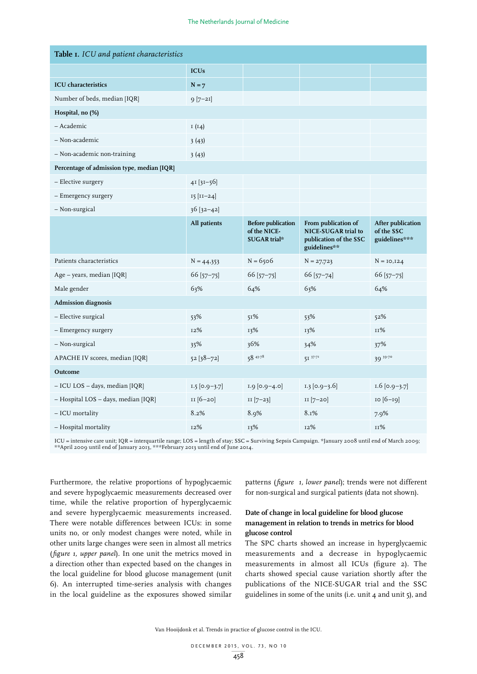| Table I. ICU and patient characteristics   |                  |                                                           |                                                                                      |                                                  |  |  |  |
|--------------------------------------------|------------------|-----------------------------------------------------------|--------------------------------------------------------------------------------------|--------------------------------------------------|--|--|--|
|                                            | <b>ICUs</b>      |                                                           |                                                                                      |                                                  |  |  |  |
| <b>ICU</b> characteristics                 | $N = 7$          |                                                           |                                                                                      |                                                  |  |  |  |
| Number of beds, median [IQR]               | $9 [7 - 21]$     |                                                           |                                                                                      |                                                  |  |  |  |
| Hospital, no (%)                           |                  |                                                           |                                                                                      |                                                  |  |  |  |
| - Academic                                 | I(14)            |                                                           |                                                                                      |                                                  |  |  |  |
| - Non-academic                             | 3(43)            |                                                           |                                                                                      |                                                  |  |  |  |
| - Non-academic non-training                | 3(43)            |                                                           |                                                                                      |                                                  |  |  |  |
| Percentage of admission type, median [IQR] |                  |                                                           |                                                                                      |                                                  |  |  |  |
| - Elective surgery                         | $4I[3I-56]$      |                                                           |                                                                                      |                                                  |  |  |  |
| - Emergency surgery                        | $15$ [ $11-24$ ] |                                                           |                                                                                      |                                                  |  |  |  |
| - Non-surgical                             | $36[32-42]$      |                                                           |                                                                                      |                                                  |  |  |  |
|                                            | All patients     | <b>Before publication</b><br>of the NICE-<br>SUGAR trial* | From publication of<br>NICE-SUGAR trial to<br>publication of the SSC<br>guidelines** | After publication<br>of the SSC<br>guidelines*** |  |  |  |
| Patients characteristics                   | $N = 44,353$     | $N = 6506$                                                | $N = 27,723$                                                                         | $N = 10,124$                                     |  |  |  |
| Age – years, median [IQR]                  | $66$ [57-75]     | $66$ [57-75]                                              | 66 [57-74]                                                                           | $66$ [57-75]                                     |  |  |  |
| Male gender                                | 63%              | 64%                                                       | 63%                                                                                  | 64%                                              |  |  |  |
| <b>Admission</b> diagnosis                 |                  |                                                           |                                                                                      |                                                  |  |  |  |
| - Elective surgical                        | 53%              | 51%                                                       | 53%                                                                                  | 52%                                              |  |  |  |
| - Emergency surgery                        | 12%              | 13%                                                       | 13%                                                                                  | 11%                                              |  |  |  |
| - Non-surgical                             | 35%              | 36%                                                       | 34%                                                                                  | 37%                                              |  |  |  |
| APACHE IV scores, median [IQR]             | $52 [38 - 72]$   | 5843.78                                                   | $5I^{37}$ <sup>71</sup>                                                              | 39.70                                            |  |  |  |
| Outcome                                    |                  |                                                           |                                                                                      |                                                  |  |  |  |
| - ICU LOS - days, median [IQR]             | $1.5$ [0.9-3.7]  | $1.9$ [0.9-4.0]                                           | $1.3$ [0.9–3.6]                                                                      | $1.6$ [0.9–3.7]                                  |  |  |  |
| - Hospital LOS - days, median [IQR]        | II [6-20]        | $II [7-23]$                                               | $II [7-20]$                                                                          | 10 [6-19]                                        |  |  |  |
| - ICU mortality                            | 8.2%             | 8.9%                                                      | 8.1%                                                                                 | 7.9%                                             |  |  |  |
| - Hospital mortality                       | 12%              | 13%                                                       | 12%                                                                                  | $11\%$                                           |  |  |  |

ICU = intensive care unit; IQR = interquartile range; LOS = length of stay; SSC = Surviving Sepsis Campaign. \*January 2008 until end of March 2009; \*\*April 2009 until end of January 2013, \*\*\*February 2013 until end of June 2014.

Furthermore, the relative proportions of hypoglycaemic and severe hypoglycaemic measurements decreased over time, while the relative proportion of hyperglycaemic and severe hyperglycaemic measurements increased. There were notable differences between ICUs: in some units no, or only modest changes were noted, while in other units large changes were seen in almost all metrics (*figure 1, upper panel*). In one unit the metrics moved in a direction other than expected based on the changes in the local guideline for blood glucose management (unit 6). An interrupted time-series analysis with changes in the local guideline as the exposures showed similar patterns (*figure 1, lower panel*); trends were not different for non-surgical and surgical patients (data not shown).

# **Date of change in local guideline for blood glucose management in relation to trends in metrics for blood glucose control**

The SPC charts showed an increase in hyperglycaemic measurements and a decrease in hypoglycaemic measurements in almost all ICUs (figure 2). The charts showed special cause variation shortly after the publications of the NICE-SUGAR trial and the SSC guidelines in some of the units (i.e. unit  $\phi$  and unit  $\zeta$ ), and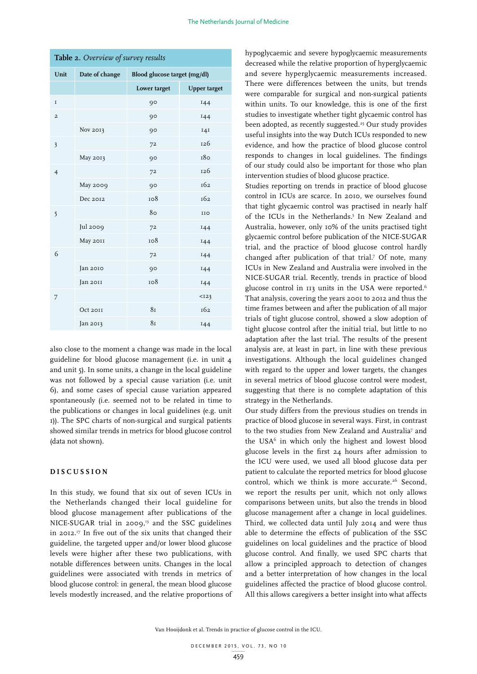| <b>Table 2.</b> Overview of survey results |                |                              |                     |  |  |
|--------------------------------------------|----------------|------------------------------|---------------------|--|--|
| Unit                                       | Date of change | Blood glucose target (mg/dl) |                     |  |  |
|                                            |                | Lower target                 | <b>Upper target</b> |  |  |
| $\mathbf I$                                |                | 90                           | 144                 |  |  |
| $\overline{a}$                             |                | 90                           | 144                 |  |  |
|                                            | Nov 2013       | 90                           | 141                 |  |  |
| $\overline{\mathbf{3}}$                    |                | 72                           | 126                 |  |  |
|                                            | May 2013       | 90                           | 180                 |  |  |
| $\overline{4}$                             |                | 72                           | 126                 |  |  |
|                                            | May 2009       | 90                           | 162                 |  |  |
|                                            | Dec 2012       | 108                          | 162                 |  |  |
| 5                                          |                | 80                           | IIO                 |  |  |
|                                            | Jul 2009       | 72                           | 144                 |  |  |
|                                            | May 2011       | 108                          | 144                 |  |  |
| 6                                          |                | 72                           | 144                 |  |  |
|                                            | Jan 2010       | 90                           | 144                 |  |  |
|                                            | Jan 2011       | 108                          | 144                 |  |  |
| 7                                          |                |                              | $I23$               |  |  |
|                                            | Oct 20II       | 8 <sub>I</sub>               | 162                 |  |  |
|                                            | Jan 2013       | 8 <sub>I</sub>               | 144                 |  |  |

**Table 2.** *Overview of survey results* 

also close to the moment a change was made in the local guideline for blood glucose management (i.e. in unit 4 and unit 5). In some units, a change in the local guideline was not followed by a special cause variation (i.e. unit 6), and some cases of special cause variation appeared spontaneously (i.e. seemed not to be related in time to the publications or changes in local guidelines (e.g. unit 1)). The SPC charts of non-surgical and surgical patients showed similar trends in metrics for blood glucose control (data not shown).

## **DISCUSSION**

In this study, we found that six out of seven ICUs in the Netherlands changed their local guideline for blood glucose management after publications of the NICE-SUGAR trial in 2009, $^{13}$  and the SSC guidelines in 2012.17 In five out of the six units that changed their guideline, the targeted upper and/or lower blood glucose levels were higher after these two publications, with notable differences between units. Changes in the local guidelines were associated with trends in metrics of blood glucose control: in general, the mean blood glucose levels modestly increased, and the relative proportions of hypoglycaemic and severe hypoglycaemic measurements decreased while the relative proportion of hyperglycaemic and severe hyperglycaemic measurements increased. There were differences between the units, but trends were comparable for surgical and non-surgical patients within units. To our knowledge, this is one of the first studies to investigate whether tight glycaemic control has been adopted, as recently suggested.<sup>25</sup> Our study provides useful insights into the way Dutch ICUs responded to new evidence, and how the practice of blood glucose control responds to changes in local guidelines. The findings of our study could also be important for those who plan intervention studies of blood glucose practice.

Studies reporting on trends in practice of blood glucose control in ICUs are scarce. In 2010, we ourselves found that tight glycaemic control was practised in nearly half of the ICUs in the Netherlands.<sup>5</sup> In New Zealand and Australia, however, only 10% of the units practised tight glycaemic control before publication of the NICE-SUGAR trial, and the practice of blood glucose control hardly changed after publication of that trial.7 Of note, many ICUs in New Zealand and Australia were involved in the NICE-SUGAR trial. Recently, trends in practice of blood glucose control in 113 units in the USA were reported.<sup>6</sup> That analysis, covering the years 2001 to 2012 and thus the time frames between and after the publication of all major trials of tight glucose control, showed a slow adoption of tight glucose control after the initial trial, but little to no adaptation after the last trial. The results of the present analysis are, at least in part, in line with these previous investigations. Although the local guidelines changed with regard to the upper and lower targets, the changes in several metrics of blood glucose control were modest, suggesting that there is no complete adaptation of this strategy in the Netherlands.

Our study differs from the previous studies on trends in practice of blood glucose in several ways. First, in contrast to the two studies from New Zealand and Australia<sup>7</sup> and the USA<sup>6</sup> in which only the highest and lowest blood glucose levels in the first 24 hours after admission to the ICU were used, we used all blood glucose data per patient to calculate the reported metrics for blood glucose control, which we think is more accurate.<sup>26</sup> Second, we report the results per unit, which not only allows comparisons between units, but also the trends in blood glucose management after a change in local guidelines. Third, we collected data until July 2014 and were thus able to determine the effects of publication of the SSC guidelines on local guidelines and the practice of blood glucose control. And finally, we used SPC charts that allow a principled approach to detection of changes and a better interpretation of how changes in the local guidelines affected the practice of blood glucose control. All this allows caregivers a better insight into what affects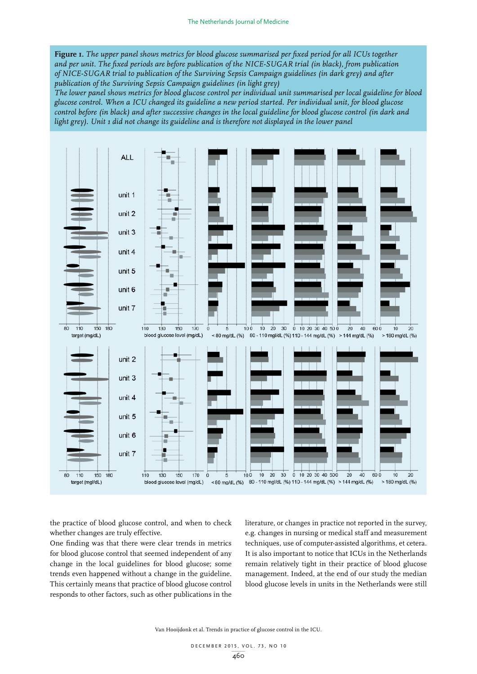**Figure 1.** *The upper panel shows metrics for blood glucose summarised per fixed period for all ICUs together and per unit. The fixed periods are before publication of the NICE-SUGAR trial (in black), from publication of NICE-SUGAR trial to publication of the Surviving Sepsis Campaign guidelines (in dark grey) and after publication of the Surviving Sepsis Campaign guidelines (in light grey)* 

*The lower panel shows metrics for blood glucose control per individual unit summarised per local guideline for blood glucose control. When a ICU changed its guideline a new period started. Per individual unit, for blood glucose control before (in black) and after successive changes in the local guideline for blood glucose control (in dark and light grey). Unit 1 did not change its guideline and is therefore not displayed in the lower panel*



the practice of blood glucose control, and when to check whether changes are truly effective.

One finding was that there were clear trends in metrics for blood glucose control that seemed independent of any change in the local guidelines for blood glucose; some trends even happened without a change in the guideline. This certainly means that practice of blood glucose control responds to other factors, such as other publications in the

literature, or changes in practice not reported in the survey, e.g. changes in nursing or medical staff and measurement techniques, use of computer-assisted algorithms, et cetera. It is also important to notice that ICUs in the Netherlands remain relatively tight in their practice of blood glucose management. Indeed, at the end of our study the median blood glucose levels in units in the Netherlands were still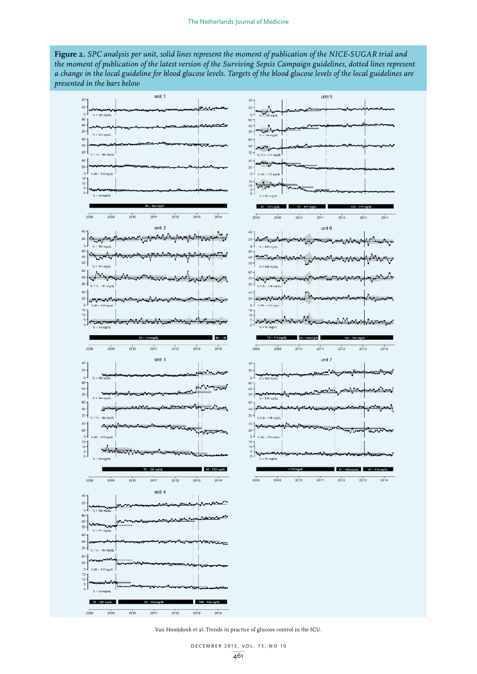**Figure 2.** *SPC analysis per unit, solid lines represent the moment of publication of the NICE-SUGAR trial and the moment of publication of the latest version of the Surviving Sepsis Campaign guidelines, dotted lines represent a change in the local guideline for blood glucose levels. Targets of the blood glucose levels of the local guidelines are presented in the bars below*

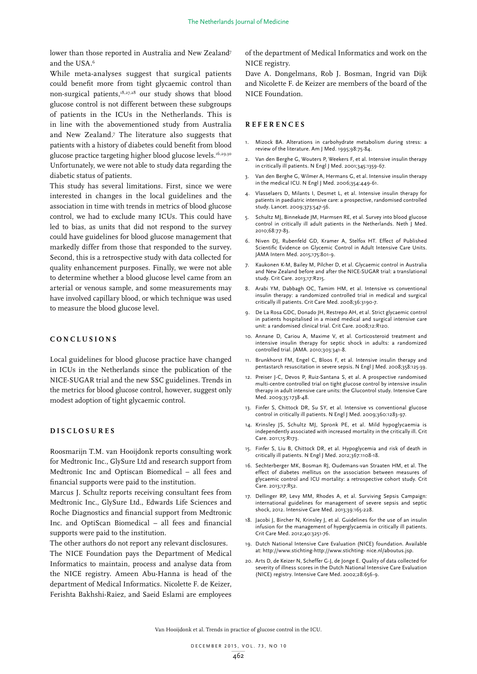lower than those reported in Australia and New Zealand<sup>7</sup> and the USA.6

While meta-analyses suggest that surgical patients could benefit more from tight glycaemic control than non-surgical patients,18,27,28 our study shows that blood glucose control is not different between these subgroups of patients in the ICUs in the Netherlands. This is in line with the abovementioned study from Australia and New Zealand.7 The literature also suggests that patients with a history of diabetes could benefit from blood glucose practice targeting higher blood glucose levels.<sup>16,29,30</sup> Unfortunately, we were not able to study data regarding the diabetic status of patients.

This study has several limitations. First, since we were interested in changes in the local guidelines and the association in time with trends in metrics of blood glucose control, we had to exclude many ICUs. This could have led to bias, as units that did not respond to the survey could have guidelines for blood glucose management that markedly differ from those that responded to the survey. Second, this is a retrospective study with data collected for quality enhancement purposes. Finally, we were not able to determine whether a blood glucose level came from an arterial or venous sample, and some measurements may have involved capillary blood, or which technique was used to measure the blood glucose level.

## **CONCLUSIONS**

Local guidelines for blood glucose practice have changed in ICUs in the Netherlands since the publication of the NICE-SUGAR trial and the new SSC guidelines. Trends in the metrics for blood glucose control, however, suggest only modest adoption of tight glycaemic control.

## **DISCLOSURES**

Roosmarijn T.M. van Hooijdonk reports consulting work for Medtronic Inc., GlySure Ltd and research support from Medtronic Inc and Optiscan Biomedical – all fees and financial supports were paid to the institution.

Marcus J. Schultz reports receiving consultant fees from Medtronic Inc., GlySure Ltd., Edwards Life Sciences and Roche Diagnostics and financial support from Medtronic Inc. and OptiScan Biomedical – all fees and financial supports were paid to the institution.

The other authors do not report any relevant disclosures. The NICE Foundation pays the Department of Medical Informatics to maintain, process and analyse data from the NICE registry. Ameen Abu-Hanna is head of the department of Medical Informatics. Nicolette F. de Keizer, Ferishta Bakhshi-Raiez, and Saeid Eslami are employees

of the department of Medical Informatics and work on the NICE registry.

Dave A. Dongelmans, Rob J. Bosman, Ingrid van Dijk and Nicolette F. de Keizer are members of the board of the NICE Foundation.

#### **REFERENCES**

- 1. Mizock BA. Alterations in carbohydrate metabolism during stress: a review of the literature. Am J Med. 1995;98:75-84.
- 2. Van den Berghe G, Wouters P, Weekers F, et al. Intensive insulin therapy in critically ill patients. N Engl J Med. 2001;345:1359-67.
- 3. Van den Berghe G, Wilmer A, Hermans G, et al. Intensive insulin therapy in the medical ICU. N Engl J Med. 2006;354:449-61.
- 4. Vlasselaers D, Milants I, Desmet L, et al. Intensive insulin therapy for patients in paediatric intensive care: a prospective, randomised controlled study. Lancet. 2009;373:547-56.
- 5. Schultz MJ, Binnekade JM, Harmsen RE, et al. Survey into blood glucose control in critically ill adult patients in the Netherlands. Neth J Med. 2010;68:77-83.
- 6. Niven DJ, Rubenfeld GD, Kramer A, Stelfox HT. Effect of Published Scientific Evidence on Glycemic Control in Adult Intensive Care Units. JAMA Intern Med. 2015;175:801-9.
- 7. Kaukonen K-M, Bailey M, Pilcher D, et al. Glycaemic control in Australia and New Zealand before and after the NICE-SUGAR trial: a translational study. Crit Care. 2013;17:R215.
- 8. Arabi YM, Dabbagh OC, Tamim HM, et al. Intensive vs conventional insulin therapy: a randomized controlled trial in medical and surgical critically ill patients. Crit Care Med. 2008;36:3190-7.
- 9. De La Rosa GDC, Donado JH, Restrepo AH, et al. Strict glycaemic control in patients hospitalised in a mixed medical and surgical intensive care unit: a randomised clinical trial. Crit Care. 2008;12:R120.
- 10. Annane D, Cariou A, Maxime V, et al. Corticosteroid treatment and intensive insulin therapy for septic shock in adults: a randomized controlled trial. JAMA. 2010;303:341-8.
- 11. Brunkhorst FM, Engel C, Bloos F, et al. Intensive insulin therapy and pentastarch resuscitation in severe sepsis. N Engl J Med. 2008;358:125-39.
- 12. Preiser J-C, Devos P, Ruiz-Santana S, et al. A prospective randomised multi-centre controlled trial on tight glucose control by intensive insulin therapy in adult intensive care units: the Glucontrol study. Intensive Care Med. 2009;35:1738-48.
- 13. Finfer S, Chittock DR, Su SY, et al. Intensive vs conventional glucose control in critically ill patients. N Engl J Med. 2009;360:1283-97.
- 14. Krinsley JS, Schultz MJ, Spronk PE, et al. Mild hypoglycaemia is independently associated with increased mortality in the critically ill. Crit Care. 2011;15:R173.
- 15. Finfer S, Liu B, Chittock DR, et al. Hypoglycemia and risk of death in critically ill patients. N Engl J Med. 2012;367:1108-18.
- 16. Sechterberger MK, Bosman RJ, Oudemans-van Straaten HM, et al. The effect of diabetes mellitus on the association between measures of glycaemic control and ICU mortality: a retrospective cohort study. Crit Care. 2013;17:R52.
- 17. Dellinger RP, Levy MM, Rhodes A, et al. Surviving Sepsis Campaign: international guidelines for management of severe sepsis and septic shock, 2012. Intensive Care Med. 2013;39:165-228.
- 18. Jacobi J, Bircher N, Krinsley J, et al. Guidelines for the use of an insulin infusion for the management of hyperglycaemia in critically ill patients. Crit Care Med. 2012;40:3251-76.
- 19. Dutch National Intensive Care Evaluation (NICE) foundation. Available at: http://www.stichting-http://www.stichting- nice.nl/aboutus.jsp.
- 20. Arts D, de Keizer N, Scheffer G-J, de Jonge E. Quality of data collected for severity of illness scores in the Dutch National Intensive Care Evaluation (NICE) registry. Intensive Care Med. 2002;28:656-9.